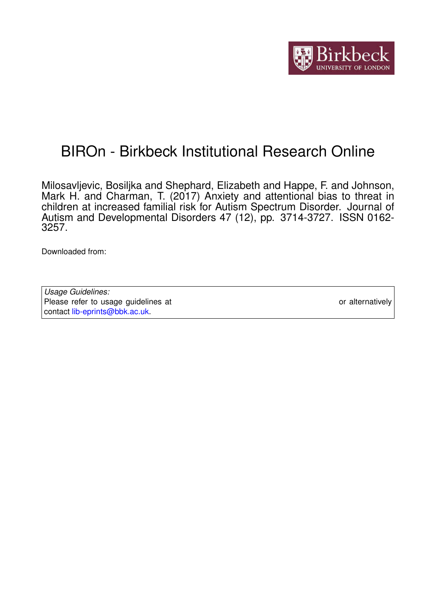

## BIROn - Birkbeck Institutional Research Online

Milosavljevic, Bosiljka and Shephard, Elizabeth and Happe, F. and Johnson, Mark H. and Charman, T. (2017) Anxiety and attentional bias to threat in children at increased familial risk for Autism Spectrum Disorder. Journal of Autism and Developmental Disorders 47 (12), pp. 3714-3727. ISSN 0162-3257.

Downloaded from: <https://eprints.bbk.ac.uk/id/eprint/18042/>

*Usage Guidelines:* Please refer to usage guidelines at <https://eprints.bbk.ac.uk/policies.html> or alternatively contact [lib-eprints@bbk.ac.uk.](mailto:lib-eprints@bbk.ac.uk)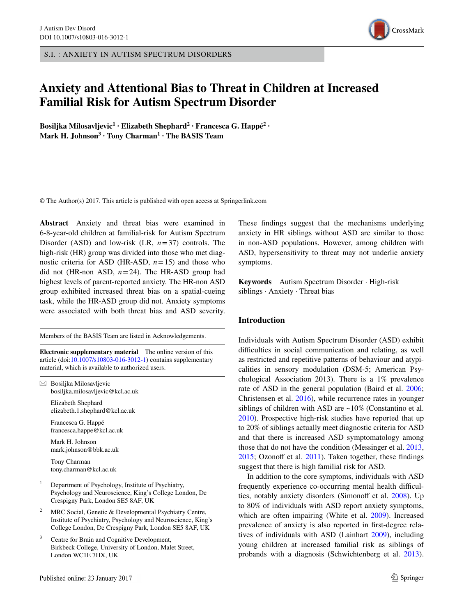S.I. : ANXIETY IN AUTISM SPECTRUM DISORDERS

### **Anxiety and Attentional Bias to Threat in Children at Increased Familial Risk for Autism Spectrum Disorder**

**Bosiljka Milosavljevic<sup>1</sup> · Elizabeth Shephard2 · Francesca G. Happé2 · Mark H. Johnson<sup>3</sup> · Tony Charman1 · The BASIS Team**

© The Author(s) 2017. This article is published with open access at Springerlink.com

**Abstract** Anxiety and threat bias were examined in 6-8-year-old children at familial-risk for Autism Spectrum Disorder (ASD) and low-risk (LR, *n*=37) controls. The high-risk (HR) group was divided into those who met diagnostic criteria for ASD (HR-ASD,  $n=15$ ) and those who did not (HR-non ASD, *n*=24). The HR-ASD group had highest levels of parent-reported anxiety. The HR-non ASD group exhibited increased threat bias on a spatial-cueing task, while the HR-ASD group did not. Anxiety symptoms were associated with both threat bias and ASD severity.

Members of the BASIS Team are listed in Acknowledgements.

**Electronic supplementary material** The online version of this article (doi:[10.1007/s10803-016-3012-1\)](http://dx.doi.org/10.1007/s10803-016-3012-1) contains supplementary material, which is available to authorized users.

 $\boxtimes$  Bosiljka Milosavljevic bosiljka.milosavljevic@kcl.ac.uk

> Elizabeth Shephard elizabeth.1.shephard@kcl.ac.uk

Francesca G. Happé francesca.happe@kcl.ac.uk

Mark H. Johnson mark.johnson@bbk.ac.uk

Tony Charman tony.charman@kcl.ac.uk

- <sup>1</sup> Department of Psychology, Institute of Psychiatry, Psychology and Neuroscience, King's College London, De Crespigny Park, London SE5 8AF, UK
- MRC Social, Genetic & Developmental Psychiatry Centre, Institute of Psychiatry, Psychology and Neuroscience, King's College London, De Crespigny Park, London SE5 8AF, UK
- Centre for Brain and Cognitive Development, Birkbeck College, University of London, Malet Street, London WC1E 7HX, UK

These findings suggest that the mechanisms underlying anxiety in HR siblings without ASD are similar to those in non-ASD populations. However, among children with ASD, hypersensitivity to threat may not underlie anxiety symptoms.

**Keywords** Autism Spectrum Disorder · High-risk siblings · Anxiety · Threat bias

#### **Introduction**

Individuals with Autism Spectrum Disorder (ASD) exhibit difficulties in social communication and relating, as well as restricted and repetitive patterns of behaviour and atypicalities in sensory modulation (DSM-5; American Psychological Association 2013). There is a 1% prevalence rate of ASD in the general population (Baird et al. [2006](#page-12-0); Christensen et al. [2016](#page-12-1)), while recurrence rates in younger siblings of children with ASD are ~10% (Constantino et al. [2010](#page-12-2)). Prospective high-risk studies have reported that up to 20% of siblings actually meet diagnostic criteria for ASD and that there is increased ASD symptomatology among those that do not have the condition (Messinger et al. [2013,](#page-13-0) [2015](#page-13-1); Ozonoff et al. [2011](#page-13-2)). Taken together, these findings suggest that there is high familial risk for ASD.

In addition to the core symptoms, individuals with ASD frequently experience co-occurring mental health difficulties, notably anxiety disorders (Simonoff et al. [2008\)](#page-14-0). Up to 80% of individuals with ASD report anxiety symptoms, which are often impairing (White et al. [2009\)](#page-14-1). Increased prevalence of anxiety is also reported in first-degree relatives of individuals with ASD (Lainhart [2009\)](#page-13-3), including young children at increased familial risk as siblings of probands with a diagnosis (Schwichtenberg et al. [2013](#page-13-4)).

# CrossMark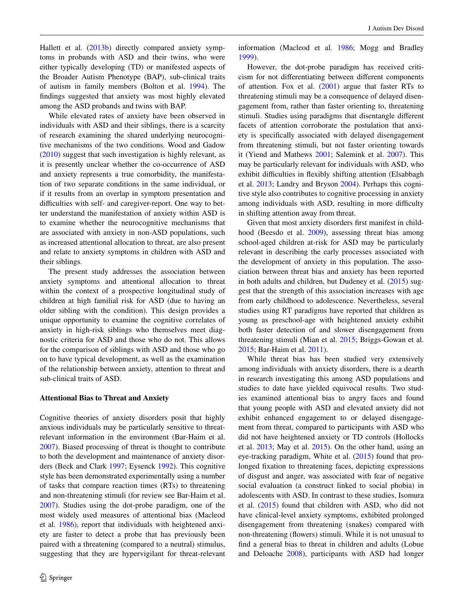Hallett et al. ([2013b\)](#page-12-3) directly compared anxiety symptoms in probands with ASD and their twins, who were either typically developing (TD) or manifested aspects of the Broader Autism Phenotype (BAP), sub-clinical traits of autism in family members (Bolton et al. [1994\)](#page-12-4). The findings suggested that anxiety was most highly elevated among the ASD probands and twins with BAP.

While elevated rates of anxiety have been observed in individuals with ASD and their siblings, there is a scarcity of research examining the shared underlying neurocognitive mechanisms of the two conditions. Wood and Gadow [\(2010](#page-14-2)) suggest that such investigation is highly relevant, as it is presently unclear whether the co-occurrence of ASD and anxiety represents a true comorbidity, the manifestation of two separate conditions in the same individual, or if it results from an overlap in symptom presentation and difficulties with self- and caregiver-report. One way to better understand the manifestation of anxiety within ASD is to examine whether the neurocognitive mechanisms that are associated with anxiety in non-ASD populations, such as increased attentional allocation to threat, are also present and relate to anxiety symptoms in children with ASD and their siblings.

The present study addresses the association between anxiety symptoms and attentional allocation to threat within the context of a prospective longitudinal study of children at high familial risk for ASD (due to having an older sibling with the condition). This design provides a unique opportunity to examine the cognitive correlates of anxiety in high-risk siblings who themselves meet diagnostic criteria for ASD and those who do not. This allows for the comparison of siblings with ASD and those who go on to have typical development, as well as the examination of the relationship between anxiety, attention to threat and sub-clinical traits of ASD.

#### **Attentional Bias to Threat and Anxiety**

Cognitive theories of anxiety disorders posit that highly anxious individuals may be particularly sensitive to threatrelevant information in the environment (Bar-Haim et al. [2007](#page-12-5)). Biased processing of threat is thought to contribute to both the development and maintenance of anxiety disorders (Beck and Clark [1997](#page-12-6); Eysenck [1992](#page-12-7)). This cognitive style has been demonstrated experimentally using a number of tasks that compare reaction times (RTs) to threatening and non-threatening stimuli (for review see Bar-Haim et al. [2007](#page-12-5)). Studies using the dot-probe paradigm, one of the most widely used measures of attentional bias (Macleod et al. [1986](#page-13-5)), report that individuals with heightened anxiety are faster to detect a probe that has previously been paired with a threatening (compared to a neutral) stimulus, suggesting that they are hypervigilant for threat-relevant information (Macleod et al. [1986](#page-13-5); Mogg and Bradley [1999](#page-13-6)).

However, the dot-probe paradigm has received criticism for not differentiating between different components of attention. Fox et al.  $(2001)$  $(2001)$  argue that faster RTs to threatening stimuli may be a consequence of delayed disengagement from, rather than faster orienting to, threatening stimuli. Studies using paradigms that disentangle different facets of attention corroborate the postulation that anxiety is specifically associated with delayed disengagement from threatening stimuli, but not faster orienting towards it (Yiend and Mathews [2001;](#page-14-3) Salemink et al. [2007\)](#page-13-7). This may be particularly relevant for individuals with ASD, who exhibit difficulties in flexibly shifting attention (Elsabbagh et al. [2013](#page-12-9); Landry and Bryson [2004](#page-13-8)). Perhaps this cognitive style also contributes to cognitive processing in anxiety among individuals with ASD, resulting in more difficulty in shifting attention away from threat.

Given that most anxiety disorders first manifest in childhood (Beesdo et al. [2009](#page-12-10)), assessing threat bias among school-aged children at-risk for ASD may be particularly relevant in describing the early processes associated with the development of anxiety in this population. The association between threat bias and anxiety has been reported in both adults and children, but Dudeney et al. ([2015\)](#page-12-11) suggest that the strength of this association increases with age from early childhood to adolescence. Nevertheless, several studies using RT paradigms have reported that children as young as preschool-age with heightened anxiety exhibit both faster detection of and slower disengagement from threatening stimuli (Mian et al. [2015](#page-13-9); Briggs-Gowan et al. [2015](#page-12-12); Bar-Haim et al. [2011](#page-12-13)).

While threat bias has been studied very extensively among individuals with anxiety disorders, there is a dearth in research investigating this among ASD populations and studies to date have yielded equivocal results. Two studies examined attentional bias to angry faces and found that young people with ASD and elevated anxiety did not exhibit enhanced engagement to or delayed disengagement from threat, compared to participants with ASD who did not have heightened anxiety or TD controls (Hollocks et al. [2013;](#page-12-14) May et al. [2015](#page-13-10)). On the other hand, using an eye-tracking paradigm, White et al. ([2015\)](#page-14-4) found that prolonged fixation to threatening faces, depicting expressions of disgust and anger, was associated with fear of negative social evaluation (a construct linked to social phobia) in adolescents with ASD. In contrast to these studies, Isomura et al. [\(2015](#page-12-15)) found that children with ASD, who did not have clinical-level anxiety symptoms, exhibited prolonged disengagement from threatening (snakes) compared with non-threatening (flowers) stimuli. While it is not unusual to find a general bias to threat in children and adults (Lobue and Deloache [2008](#page-13-11)), participants with ASD had longer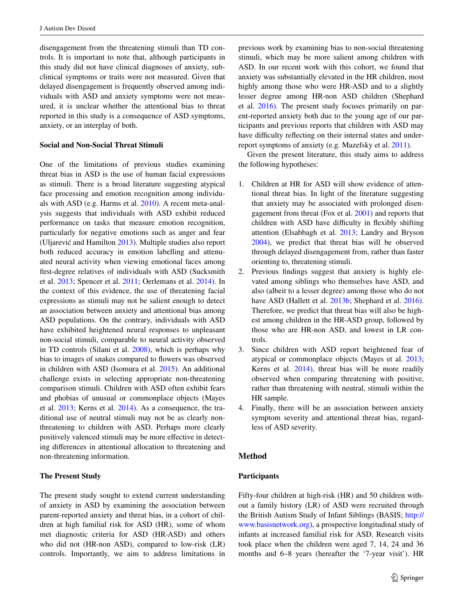disengagement from the threatening stimuli than TD controls. It is important to note that, although participants in this study did not have clinical diagnoses of anxiety, subclinical symptoms or traits were not measured. Given that delayed disengagement is frequently observed among individuals with ASD and anxiety symptoms were not measured, it is unclear whether the attentional bias to threat reported in this study is a consequence of ASD symptoms, anxiety, or an interplay of both.

#### **Social and Non‑Social Threat Stimuli**

One of the limitations of previous studies examining threat bias in ASD is the use of human facial expressions as stimuli. There is a broad literature suggesting atypical face processing and emotion recognition among individuals with ASD (e.g. Harms et al. [2010\)](#page-12-16). A recent meta-analysis suggests that individuals with ASD exhibit reduced performance on tasks that measure emotion recognition, particularly for negative emotions such as anger and fear (Uljarević and Hamilton [2013](#page-14-5)). Multiple studies also report both reduced accuracy in emotion labelling and attenuated neural activity when viewing emotional faces among first-degree relatives of individuals with ASD (Sucksmith et al. [2013;](#page-14-6) Spencer et al. [2011](#page-14-7); Oerlemans et al. [2014](#page-13-12)). In the context of this evidence, the use of threatening facial expressions as stimuli may not be salient enough to detect an association between anxiety and attentional bias among ASD populations. On the contrary, individuals with ASD have exhibited heightened neural responses to unpleasant non-social stimuli, comparable to neural activity observed in TD controls (Silani et al. [2008\)](#page-14-8), which is perhaps why bias to images of snakes compared to flowers was observed in children with ASD (Isomura et al. [2015\)](#page-12-15). An additional challenge exists in selecting appropriate non-threatening comparison stimuli. Children with ASD often exhibit fears and phobias of unusual or commonplace objects (Mayes et al. [2013;](#page-13-13) Kerns et al. [2014](#page-12-17)). As a consequence, the traditional use of neutral stimuli may not be as clearly nonthreatening to children with ASD. Perhaps more clearly positively valenced stimuli may be more effective in detecting differences in attentional allocation to threatening and non-threatening information.

#### **The Present Study**

The present study sought to extend current understanding of anxiety in ASD by examining the association between parent-reported anxiety and threat bias, in a cohort of children at high familial risk for ASD (HR), some of whom met diagnostic criteria for ASD (HR-ASD) and others who did not (HR-non ASD), compared to low-risk (LR) controls. Importantly, we aim to address limitations in previous work by examining bias to non-social threatening stimuli, which may be more salient among children with ASD. In our recent work with this cohort, we found that anxiety was substantially elevated in the HR children, most highly among those who were HR-ASD and to a slightly lesser degree among HR-non ASD children (Shephard et al. [2016](#page-13-14)). The present study focuses primarily on parent-reported anxiety both due to the young age of our participants and previous reports that children with ASD may have difficulty reflecting on their internal states and underreport symptoms of anxiety (e.g. Mazefsky et al. [2011\)](#page-13-15).

Given the present literature, this study aims to address the following hypotheses:

- 1. Children at HR for ASD will show evidence of attentional threat bias. In light of the literature suggesting that anxiety may be associated with prolonged disengagement from threat (Fox et al. [2001](#page-12-8)) and reports that children with ASD have difficulty in flexibly shifting attention (Elsabbagh et al. [2013;](#page-12-9) Landry and Bryson [2004](#page-13-8)), we predict that threat bias will be observed through delayed disengagement from, rather than faster orienting to, threatening stimuli.
- 2. Previous findings suggest that anxiety is highly elevated among siblings who themselves have ASD, and also (albeit to a lesser degree) among those who do not have ASD (Hallett et al. [2013b;](#page-12-3) Shephard et al. [2016](#page-13-14)). Therefore, we predict that threat bias will also be highest among children in the HR-ASD group, followed by those who are HR-non ASD, and lowest in LR controls.
- 3. Since children with ASD report heightened fear of atypical or commonplace objects (Mayes et al. [2013](#page-13-13); Kerns et al.  $2014$ ), threat bias will be more readily observed when comparing threatening with positive, rather than threatening with neutral, stimuli within the HR sample.
- 4. Finally, there will be an association between anxiety symptom severity and attentional threat bias, regardless of ASD severity.

#### **Method**

#### **Participants**

Fifty-four children at high-risk (HR) and 50 children without a family history (LR) of ASD were recruited through the British Autism Study of Infant Siblings (BASIS; [http://](http://www.basisnetwork.org) [www.basisnetwork.org\)](http://www.basisnetwork.org), a prospective longitudinal study of infants at increased familial risk for ASD. Research visits took place when the children were aged 7, 14, 24 and 36 months and 6–8 years (hereafter the '7-year visit'). HR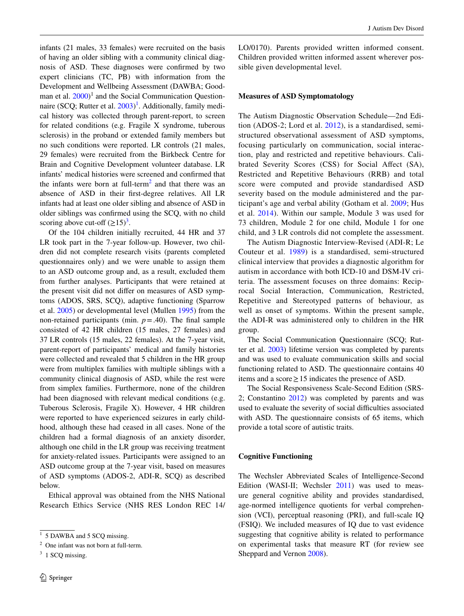infants (21 males, 33 females) were recruited on the basis of having an older sibling with a community clinical diagnosis of ASD. These diagnoses were confirmed by two expert clinicians (TC, PB) with information from the Development and Wellbeing Assessment (DAWBA; Goodman et al.  $2000$ <sup>1</sup> and the Social Communication Question-naire (SCQ; Rutter et al. [2003](#page-13-16))<sup>[1](#page-4-0)</sup>. Additionally, family medical history was collected through parent-report, to screen for related conditions (e.g. Fragile X syndrome, tuberous sclerosis) in the proband or extended family members but no such conditions were reported. LR controls (21 males, 29 females) were recruited from the Birkbeck Centre for Brain and Cognitive Development volunteer database. LR infants' medical histories were screened and confirmed that the infants were born at full-term<sup>[2](#page-4-1)</sup> and that there was an absence of ASD in their first-degree relatives. All LR infants had at least one older sibling and absence of ASD in older siblings was confirmed using the SCQ, with no child scoring above cut-off  $(\geq 15)^3$  $(\geq 15)^3$ .

Of the 104 children initially recruited, 44 HR and 37 LR took part in the 7-year follow-up. However, two children did not complete research visits (parents completed questionnaires only) and we were unable to assign them to an ASD outcome group and, as a result, excluded them from further analyses. Participants that were retained at the present visit did not differ on measures of ASD symptoms (ADOS, SRS, SCQ), adaptive functioning (Sparrow et al. [2005](#page-14-9)) or developmental level (Mullen [1995\)](#page-13-17) from the non-retained participants (min.  $p = .40$ ). The final sample consisted of 42 HR children (15 males, 27 females) and 37 LR controls (15 males, 22 females). At the 7-year visit, parent-report of participants' medical and family histories were collected and revealed that 5 children in the HR group were from multiplex families with multiple siblings with a community clinical diagnosis of ASD, while the rest were from simplex families. Furthermore, none of the children had been diagnosed with relevant medical conditions (e.g. Tuberous Sclerosis, Fragile X). However, 4 HR children were reported to have experienced seizures in early childhood, although these had ceased in all cases. None of the children had a formal diagnosis of an anxiety disorder, although one child in the LR group was receiving treatment for anxiety-related issues. Participants were assigned to an ASD outcome group at the 7-year visit, based on measures of ASD symptoms (ADOS-2, ADI-R, SCQ) as described below.

Ethical approval was obtained from the NHS National Research Ethics Service (NHS RES London REC 14/ LO/0170). Parents provided written informed consent. Children provided written informed assent wherever possible given developmental level.

#### **Measures of ASD Symptomatology**

The Autism Diagnostic Observation Schedule—2nd Edition (ADOS-2; Lord et al. [2012\)](#page-13-18), is a standardised, semistructured observational assessment of ASD symptoms, focusing particularly on communication, social interaction, play and restricted and repetitive behaviours. Calibrated Severity Scores (CSS) for Social Affect (SA), Restricted and Repetitive Behaviours (RRB) and total score were computed and provide standardised ASD severity based on the module administered and the participant's age and verbal ability (Gotham et al. [2009](#page-12-19); Hus et al. [2014\)](#page-12-20). Within our sample, Module 3 was used for 73 children, Module 2 for one child, Module 1 for one child, and 3 LR controls did not complete the assessment.

The Autism Diagnostic Interview-Revised (ADI-R; Le Couteur et al. [1989\)](#page-13-19) is a standardised, semi-structured clinical interview that provides a diagnostic algorithm for autism in accordance with both ICD-10 and DSM-IV criteria. The assessment focuses on three domains: Reciprocal Social Interaction, Communication, Restricted, Repetitive and Stereotyped patterns of behaviour, as well as onset of symptoms. Within the present sample, the ADI-R was administered only to children in the HR group.

The Social Communication Questionnaire (SCQ; Rutter et al. [2003](#page-13-16)) lifetime version was completed by parents and was used to evaluate communication skills and social functioning related to ASD. The questionnaire contains 40 items and a score  $\geq 15$  indicates the presence of ASD.

The Social Responsiveness Scale-Second Edition (SRS-2; Constantino [2012\)](#page-12-21) was completed by parents and was used to evaluate the severity of social difficulties associated with ASD. The questionnaire consists of 65 items, which provide a total score of autistic traits.

#### **Cognitive Functioning**

The Wechsler Abbreviated Scales of Intelligence-Second Edition (WASI-II; Wechsler [2011](#page-14-10)) was used to measure general cognitive ability and provides standardised, age-normed intelligence quotients for verbal comprehension (VCI), perceptual reasoning (PRI), and full-scale IQ (FSIQ). We included measures of IQ due to vast evidence suggesting that cognitive ability is related to performance on experimental tasks that measure RT (for review see Sheppard and Vernon [2008](#page-14-11)).

<span id="page-4-0"></span> $\overline{1}$  5 DAWBA and 5 SCQ missing.

<span id="page-4-1"></span><sup>2</sup> One infant was not born at full-term.

<span id="page-4-2"></span><sup>&</sup>lt;sup>3</sup> 1 SCQ missing.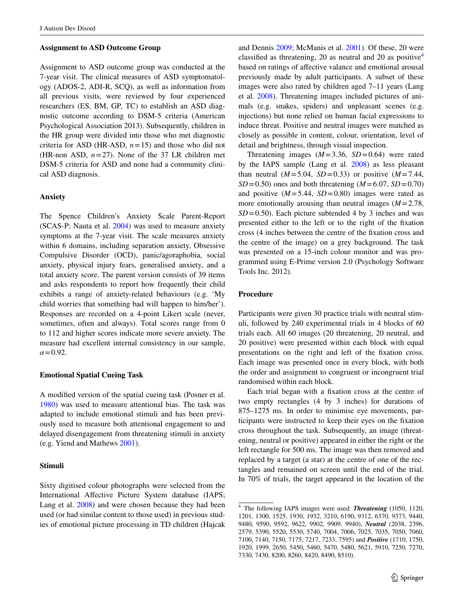#### **Assignment to ASD Outcome Group**

Assignment to ASD outcome group was conducted at the 7-year visit. The clinical measures of ASD symptomatology (ADOS-2, ADI-R, SCQ), as well as information from all previous visits, were reviewed by four experienced researchers (ES, BM, GP, TC) to establish an ASD diagnostic outcome according to DSM-5 criteria (American Psychological Association 2013). Subsequently, children in the HR group were divided into those who met diagnostic criteria for ASD (HR-ASD,  $n = 15$ ) and those who did not (HR-non ASD,  $n=27$ ). None of the 37 LR children met DSM-5 criteria for ASD and none had a community clinical ASD diagnosis.

#### **Anxiety**

The Spence Children's Anxiety Scale Parent-Report (SCAS-P; Nauta et al. [2004\)](#page-13-20) was used to measure anxiety symptoms at the 7-year visit. The scale measures anxiety within 6 domains, including separation anxiety, Obsessive Compulsive Disorder (OCD), panic/agoraphobia, social anxiety, physical injury fears, generalised anxiety, and a total anxiety score. The parent version consists of 39 items and asks respondents to report how frequently their child exhibits a range of anxiety-related behaviours (e.g. 'My child worries that something bad will happen to him/her'). Responses are recorded on a 4-point Likert scale (never, sometimes, often and always). Total scores range from 0 to 112 and higher scores indicate more severe anxiety. The measure had excellent internal consistency in our sample,  $\alpha$  = 0.92.

#### **Emotional Spatial Cueing Task**

A modified version of the spatial cueing task (Posner et al. [1980](#page-13-21)) was used to measure attentional bias. The task was adapted to include emotional stimuli and has been previously used to measure both attentional engagement to and delayed disengagement from threatening stimuli in anxiety (e.g. Yiend and Mathews [2001\)](#page-14-3).

#### **Stimuli**

Sixty digitised colour photographs were selected from the International Affective Picture System database (IAPS; Lang et al. [2008\)](#page-13-22) and were chosen because they had been used (or had similar content to those used) in previous studies of emotional picture processing in TD children (Hajcak and Dennis [2009;](#page-12-22) McManis et al. [2001](#page-13-23)). Of these, 20 were classified as threatening, 20 as neutral and 20 as positive<sup>[4](#page-5-0)</sup> based on ratings of affective valance and emotional arousal previously made by adult participants. A subset of these images were also rated by children aged 7–11 years (Lang et al. [2008](#page-13-22)). Threatening images included pictures of animals (e.g. snakes, spiders) and unpleasant scenes (e.g. injections) but none relied on human facial expressions to induce threat. Positive and neutral images were matched as closely as possible in content, colour, orientation, level of detail and brightness, through visual inspection.

Threatening images  $(M=3.36, SD=0.64)$  were rated by the IAPS sample (Lang et al. [2008](#page-13-22)) as less pleasant than neutral  $(M = 5.04, SD = 0.33)$  or positive  $(M = 7.44,$  $SD = 0.50$ ) ones and both threatening ( $M = 6.07$ ,  $SD = 0.70$ ) and positive  $(M=5.44, SD=0.80)$  images were rated as more emotionally arousing than neutral images  $(M=2.78$ ,  $SD = 0.50$ . Each picture subtended 4 by 3 inches and was presented either to the left or to the right of the fixation cross (4 inches between the centre of the fixation cross and the centre of the image) on a grey background. The task was presented on a 15-inch colour monitor and was programmed using E-Prime version 2.0 (Psychology Software Tools Inc. 2012).

#### **Procedure**

Participants were given 30 practice trials with neutral stimuli, followed by 240 experimental trials in 4 blocks of 60 trials each. All 60 images (20 threatening, 20 neutral, and 20 positive) were presented within each block with equal presentations on the right and left of the fixation cross. Each image was presented once in every block, with both the order and assignment to congruent or incongruent trial randomised within each block.

Each trial began with a fixation cross at the centre of two empty rectangles (4 by 3 inches) for durations of 875–1275 ms. In order to minimise eye movements, participants were instructed to keep their eyes on the fixation cross throughout the task. Subsequently, an image (threatening, neutral or positive) appeared in either the right or the left rectangle for 500 ms. The image was then removed and replaced by a target (a star) at the centre of one of the rectangles and remained on screen until the end of the trial. In 70% of trials, the target appeared in the location of the

<span id="page-5-0"></span><sup>4</sup> The following IAPS images were used: *Threatening* (1050, 1120, 1201, 1300, 1525, 1930, 1932, 3210, 6190, 9312, 6370, 9373, 9440, 9480, 9590, 9592, 9622, 9902, 9909, 9940), *Neutral* (2038, 2396, 2579, 5390, 5520, 5530, 5740, 7004, 7006, 7025, 7035, 7050, 7060, 7100, 7140, 7150, 7175, 7217, 7233, 7595) and *Positive* (1710, 1750, 1920, 1999, 2650, 5450, 5460, 5470, 5480, 5621, 5910, 7250, 7270, 7330, 7430, 8200, 8260, 8420, 8490, 8510).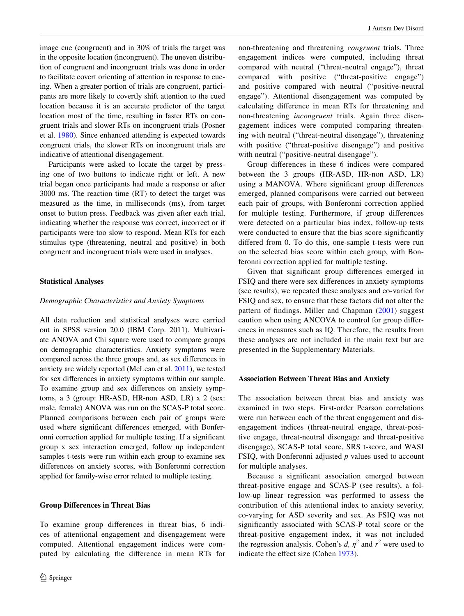image cue (congruent) and in 30% of trials the target was in the opposite location (incongruent). The uneven distribution of congruent and incongruent trials was done in order to facilitate covert orienting of attention in response to cueing. When a greater portion of trials are congruent, participants are more likely to covertly shift attention to the cued location because it is an accurate predictor of the target location most of the time, resulting in faster RTs on congruent trials and slower RTs on incongruent trials (Posner et al. [1980](#page-13-21)). Since enhanced attending is expected towards congruent trials, the slower RTs on incongruent trials are indicative of attentional disengagement.

Participants were asked to locate the target by pressing one of two buttons to indicate right or left. A new trial began once participants had made a response or after 3000 ms. The reaction time (RT) to detect the target was measured as the time, in milliseconds (ms), from target onset to button press. Feedback was given after each trial, indicating whether the response was correct, incorrect or if participants were too slow to respond. Mean RTs for each stimulus type (threatening, neutral and positive) in both congruent and incongruent trials were used in analyses.

#### **Statistical Analyses**

#### *Demographic Characteristics and Anxiety Symptoms*

All data reduction and statistical analyses were carried out in SPSS version 20.0 (IBM Corp. 2011). Multivariate ANOVA and Chi square were used to compare groups on demographic characteristics. Anxiety symptoms were compared across the three groups and, as sex differences in anxiety are widely reported (McLean et al. [2011\)](#page-13-24), we tested for sex differences in anxiety symptoms within our sample. To examine group and sex differences on anxiety symptoms, a 3 (group: HR-ASD, HR-non ASD, LR) x 2 (sex: male, female) ANOVA was run on the SCAS-P total score. Planned comparisons between each pair of groups were used where significant differences emerged, with Bonferonni correction applied for multiple testing. If a significant group x sex interaction emerged, follow up independent samples t-tests were run within each group to examine sex differences on anxiety scores, with Bonferonni correction applied for family-wise error related to multiple testing.

#### **Group Differences in Threat Bias**

To examine group differences in threat bias, 6 indices of attentional engagement and disengagement were computed. Attentional engagement indices were computed by calculating the difference in mean RTs for non-threatening and threatening *congruent* trials. Three engagement indices were computed, including threat compared with neutral ("threat-neutral engage"), threat compared with positive ("threat-positive engage") and positive compared with neutral ("positive-neutral engage"). Attentional disengagement was computed by calculating difference in mean RTs for threatening and non-threatening *incongruent* trials. Again three disengagement indices were computed comparing threatening with neutral ("threat-neutral disengage"), threatening with positive ("threat-positive disengage") and positive with neutral ("positive-neutral disengage").

Group differences in these 6 indices were compared between the 3 groups (HR-ASD, HR-non ASD, LR) using a MANOVA. Where significant group differences emerged, planned comparisons were carried out between each pair of groups, with Bonferonni correction applied for multiple testing. Furthermore, if group differences were detected on a particular bias index, follow-up tests were conducted to ensure that the bias score significantly differed from 0. To do this, one-sample t-tests were run on the selected bias score within each group, with Bonferonni correction applied for multiple testing.

Given that significant group differences emerged in FSIQ and there were sex differences in anxiety symptoms (see results), we repeated these analyses and co-varied for FSIQ and sex, to ensure that these factors did not alter the pattern of findings. Miller and Chapman ([2001](#page-13-25)) suggest caution when using ANCOVA to control for group differences in measures such as IQ. Therefore, the results from these analyses are not included in the main text but are presented in the Supplementary Materials.

#### **Association Between Threat Bias and Anxiety**

The association between threat bias and anxiety was examined in two steps. First-order Pearson correlations were run between each of the threat engagement and disengagement indices (threat-neutral engage, threat-positive engage, threat-neutral disengage and threat-positive disengage), SCAS-P total score, SRS t-score, and WASI FSIQ, with Bonferonni adjusted *p* values used to account for multiple analyses.

Because a significant association emerged between threat-positive engage and SCAS-P (see results), a follow-up linear regression was performed to assess the contribution of this attentional index to anxiety severity, co-varying for ASD severity and sex. As FSIQ was not significantly associated with SCAS-P total score or the threat-positive engagement index, it was not included the regression analysis. Cohen's *d*,  $\eta^2$  and  $r^2$  were used to indicate the effect size (Cohen [1973\)](#page-12-23).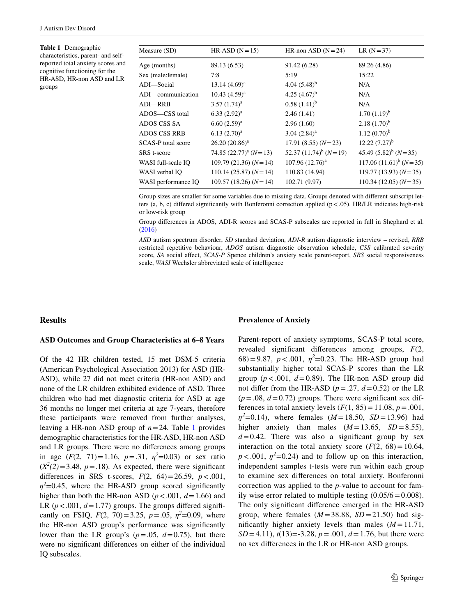<span id="page-7-0"></span>**Table 1** Demographic characteristics, parent- and selfreported total anxiety scores and cognitive functioning for the HR-ASD, HR-non ASD and LR groups

| Measure (SD)        | $HR-ASD (N=15)$              | HR-non ASD $(N=24)$        | $LR (N = 37)$             |
|---------------------|------------------------------|----------------------------|---------------------------|
| Age (months)        | 89.13 (6.53)                 | 91.42 (6.28)               | 89.26 (4.86)              |
| Sex (male: female)  | 7:8                          | 5:19                       | 15:22                     |
| ADI-Social          | $13.14(4.69)^a$              | 4.04 $(5.48)^b$            | N/A                       |
| ADI—communication   | $10.43 (4.59)^{a}$           | 4.25 $(4.67)^{b}$          | N/A                       |
| <b>ADI-RRB</b>      | $3.57(1.74)^a$               | $0.58(1.41)^{b}$           | N/A                       |
| ADOS—CSS total      | $(6.33 (2.92)^a)$            | 2.46(1.41)                 | $1.70(1.19)^{b}$          |
| ADOS CSS SA         | $6.60(2.59)^a$               | 2.96(1.60)                 | $2.18(1.70)^{b}$          |
| <b>ADOS CSS RRB</b> | $6.13(2.70)^a$               | $3.04 (2.84)^a$            | $1.12 (0.70)^{b}$         |
| SCAS-P total score  | $26.20(20.86)^a$             | $17.91(8.55)(N=23)$        | $12.22(7.27)^{b}$         |
| SRS t-score         | 74.85 $(22.77)^{a}$ $(N=13)$ | 52.37 $(11.74)^b$ $(N=19)$ | 45.49 $(5.82)^b$ (N = 35) |
| WASI full-scale IO  | $109.79(21.36)(N=14)$        | $107.96(12.76)^{a}$        | $117.06 (11.61)^b (N=35)$ |
| WASI verbal IO      | $110.14(25.87)(N=14)$        | 110.83 (14.94)             | $119.77(13.93)(N=35)$     |
| WASI performance IQ | $109.57(18.26)(N=14)$        | 102.71 (9.97)              | $110.34(12.05)(N=35)$     |
|                     |                              |                            |                           |

Group sizes are smaller for some variables due to missing data. Groups denoted with different subscript letters (a, b, c) differed significantly with Bonferonni correction applied  $(p < .05)$ . HR/LR indicates high-risk or low-risk group

Group differences in ADOS, ADI-R scores and SCAS-P subscales are reported in full in Shephard et al. [\(2016](#page-13-14))

*ASD* autism spectrum disorder, *SD* standard deviation, *ADI-R* autism diagnostic interview – revised, *RRB* restricted repetitive behaviour, *ADOS* autism diagnostic observation schedule, *CSS* calibrated severity score, *SA* social affect, *SCAS-P* Spence children's anxiety scale parent-report, *SRS* social responsiveness scale, *WASI* Wechsler abbreviated scale of intelligence

#### **Results**

#### **ASD Outcomes and Group Characteristics at 6–8 Years**

Of the 42 HR children tested, 15 met DSM-5 criteria (American Psychological Association 2013) for ASD (HR-ASD), while 27 did not meet criteria (HR-non ASD) and none of the LR children exhibited evidence of ASD. Three children who had met diagnostic criteria for ASD at age 36 months no longer met criteria at age 7-years, therefore these participants were removed from further analyses, leaving a HR-non ASD group of  $n=24$ . Table [1](#page-7-0) provides demographic characteristics for the HR-ASD, HR-non ASD and LR groups. There were no differences among groups in age  $(F(2, 71)) = 1.16$ ,  $p = .31$ ,  $\eta^2 = 0.03$ ) or sex ratio  $(X^2(2)=3.48, p=.18)$ . As expected, there were significant differences in SRS t-scores, *F*(2, 64)=26.59, *p*<.001,  $\eta^2$ =0.45, where the HR-ASD group scored significantly higher than both the HR-non ASD ( $p < .001$ ,  $d = 1.66$ ) and LR ( $p < .001$ ,  $d = 1.77$ ) groups. The groups differed significantly on FSIQ,  $F(2, 70) = 3.25$ ,  $p = .05$ ,  $\eta^2 = 0.09$ , where the HR-non ASD group's performance was significantly lower than the LR group's  $(p=.05, d=0.75)$ , but there were no significant differences on either of the individual IQ subscales.

#### **Prevalence of Anxiety**

Parent-report of anxiety symptoms, SCAS-P total score, revealed significant differences among groups, *F*(2, 68)=9.87,  $p < .001$ ,  $\eta^2 = 0.23$ . The HR-ASD group had substantially higher total SCAS-P scores than the LR group ( $p < .001$ ,  $d = 0.89$ ). The HR-non ASD group did not differ from the HR-ASD ( $p = .27$ ,  $d = 0.52$ ) or the LR  $(p=.08, d=0.72)$  groups. There were significant sex differences in total anxiety levels  $(F(1, 85) = 11.08, p = .001,$ *n*<sup>2</sup>=0.14), where females (*M* = 18.50, *SD* = 13.96) had higher anxiety than males  $(M=13.65, SD=8.55)$ ,  $d=0.42$ . There was also a significant group by sex interaction on the total anxiety score  $(F(2, 68) = 10.64,$  $p < .001$ ,  $\eta^2 = 0.24$ ) and to follow up on this interaction, independent samples t-tests were run within each group to examine sex differences on total anxiety. Bonferonni correction was applied to the *p*-value to account for family wise error related to multiple testing  $(0.05/6=0.008)$ . The only significant difference emerged in the HR-ASD group, where females  $(M = 38.88, SD = 21.50)$  had significantly higher anxiety levels than males  $(M = 11.71)$ , *SD* =4.11), *t*(13)=-3.28, *p*=.001, *d*=1.76, but there were no sex differences in the LR or HR-non ASD groups.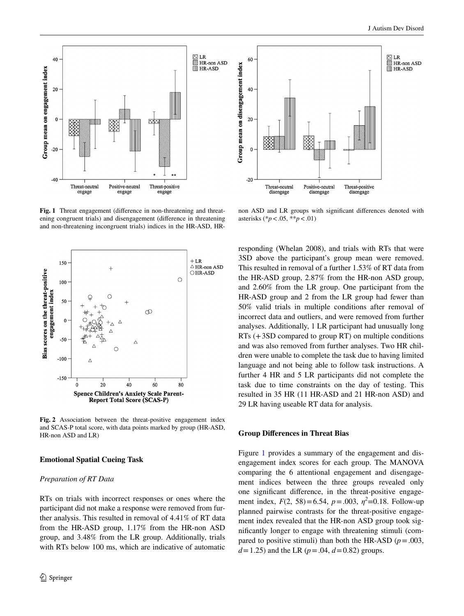

<span id="page-8-0"></span>**Fig. 1** Threat engagement (difference in non-threatening and threatening congruent trials) and disengagement (difference in threatening and non-threatening incongruent trials) indices in the HR-ASD, HR-



<span id="page-8-1"></span>**Fig. 2** Association between the threat-positive engagement index and SCAS-P total score, with data points marked by group (HR-ASD, HR-non ASD and LR)

#### **Emotional Spatial Cueing Task**

#### *Preparation of RT Data*

RTs on trials with incorrect responses or ones where the participant did not make a response were removed from further analysis. This resulted in removal of 4.41% of RT data from the HR-ASD group, 1.17% from the HR-non ASD group, and 3.48% from the LR group. Additionally, trials with RTs below 100 ms, which are indicative of automatic



non ASD and LR groups with significant differences denoted with asterisks (\**p*<.05, \*\**p*<.01)

responding (Whelan 2008), and trials with RTs that were 3SD above the participant's group mean were removed. This resulted in removal of a further 1.53% of RT data from the HR-ASD group, 2.87% from the HR-non ASD group, and 2.60% from the LR group. One participant from the HR-ASD group and 2 from the LR group had fewer than 50% valid trials in multiple conditions after removal of incorrect data and outliers, and were removed from further analyses. Additionally, 1 LR participant had unusually long RTs (+3SD compared to group RT) on multiple conditions and was also removed from further analyses. Two HR children were unable to complete the task due to having limited language and not being able to follow task instructions. A further 4 HR and 5 LR participants did not complete the task due to time constraints on the day of testing. This resulted in 35 HR (11 HR-ASD and 21 HR-non ASD) and 29 LR having useable RT data for analysis.

#### **Group Differences in Threat Bias**

Figure [1](#page-8-0) provides a summary of the engagement and disengagement index scores for each group. The MANOVA comparing the 6 attentional engagement and disengagement indices between the three groups revealed only one significant difference, in the threat-positive engagement index,  $F(2, 58) = 6.54$ ,  $p = .003$ ,  $\eta^2 = 0.18$ . Follow-up planned pairwise contrasts for the threat-positive engagement index revealed that the HR-non ASD group took significantly longer to engage with threatening stimuli (compared to positive stimuli) than both the HR-ASD ( $p = .003$ ,  $d=1.25$ ) and the LR ( $p=.04$ ,  $d=0.82$ ) groups.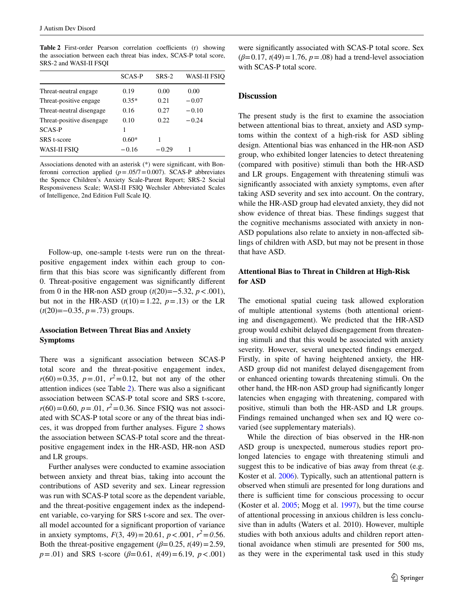<span id="page-9-0"></span>**Table 2** First-order Pearson correlation coefficients (r) showing the association between each threat bias index, SCAS-P total score, SRS-2 and WASI-II FSQI

|                           | <b>SCAS-P</b> | $SRS-2$ | <b>WASI-II FSIQ</b> |
|---------------------------|---------------|---------|---------------------|
| Threat-neutral engage     | 0.19          | 0.00    | 0.00                |
| Threat-positive engage    | $0.35*$       | 0.21    | $-0.07$             |
| Threat-neutral disengage  | 0.16          | 0.27    | $-0.10$             |
| Threat-positive disengage | 0.10          | 0.22    | $-0.24$             |
| <b>SCAS-P</b>             |               |         |                     |
| SRS t-score               | $0.60*$       | 1       |                     |
| <b>WASI-II FSIO</b>       | $-0.16$       | $-0.29$ |                     |
|                           |               |         |                     |

Associations denoted with an asterisk (\*) were significant, with Bonferonni correction applied  $(p=.05/7=0.007)$ . SCAS-P abbreviates the Spence Children's Anxiety Scale-Parent Report; SRS-2 Social Responsiveness Scale; WASI-II FSIQ Wechsler Abbreviated Scales of Intelligence, 2nd Edition Full Scale IQ.

Follow-up, one-sample t-tests were run on the threatpositive engagement index within each group to confirm that this bias score was significantly different from 0. Threat-positive engagement was significantly different from 0 in the HR-non ASD group (*t*(20)=−5.32, *p*<.001), but not in the HR-ASD  $(t(10)=1.22, p=.13)$  or the LR (*t*(20)=−0.35, *p*=.73) groups.

#### **Association Between Threat Bias and Anxiety Symptoms**

There was a significant association between SCAS-P total score and the threat-positive engagement index,  $r(60)=0.35$ ,  $p=.01$ ,  $r^2=0.12$ , but not any of the other attention indices (see Table [2\)](#page-9-0). There was also a significant association between SCAS-P total score and SRS t-score,  $r(60)=0.60$ ,  $p=.01$ ,  $r^2=0.36$ . Since FSIQ was not associated with SCAS-P total score or any of the threat bias indices, it was dropped from further analyses. Figure [2](#page-8-1) shows the association between SCAS-P total score and the threatpositive engagement index in the HR-ASD, HR-non ASD and LR groups.

Further analyses were conducted to examine association between anxiety and threat bias, taking into account the contributions of ASD severity and sex. Linear regression was run with SCAS-P total score as the dependent variable, and the threat-positive engagement index as the independent variable, co-varying for SRS t-score and sex. The overall model accounted for a significant proportion of variance in anxiety symptoms,  $F(3, 49) = 20.61$ ,  $p < .001$ ,  $r^2 = 0.56$ . Both the threat-positive engagement ( $\beta$ =0.25, *t*(49)=2.59, *p*=.01) and SRS t-score (*β*=0.61, *t*(49)=6.19, *p*<.001)

were significantly associated with SCAS-P total score. Sex  $(\beta = 0.17, t(49) = 1.76, p = .08)$  had a trend-level association with SCAS-P total score.

#### **Discussion**

The present study is the first to examine the association between attentional bias to threat, anxiety and ASD symptoms within the context of a high-risk for ASD sibling design. Attentional bias was enhanced in the HR-non ASD group, who exhibited longer latencies to detect threatening (compared with positive) stimuli than both the HR-ASD and LR groups. Engagement with threatening stimuli was significantly associated with anxiety symptoms, even after taking ASD severity and sex into account. On the contrary, while the HR-ASD group had elevated anxiety, they did not show evidence of threat bias. These findings suggest that the cognitive mechanisms associated with anxiety in non-ASD populations also relate to anxiety in non-affected siblings of children with ASD, but may not be present in those that have ASD.

#### **Attentional Bias to Threat in Children at High‑Risk for ASD**

The emotional spatial cueing task allowed exploration of multiple attentional systems (both attentional orienting and disengagement). We predicted that the HR-ASD group would exhibit delayed disengagement from threatening stimuli and that this would be associated with anxiety severity. However, several unexpected findings emerged. Firstly, in spite of having heightened anxiety, the HR-ASD group did not manifest delayed disengagement from or enhanced orienting towards threatening stimuli. On the other hand, the HR-non ASD group had significantly longer latencies when engaging with threatening, compared with positive, stimuli than both the HR-ASD and LR groups. Findings remained unchanged when sex and IQ were covaried (see supplementary materials).

While the direction of bias observed in the HR-non ASD group is unexpected, numerous studies report prolonged latencies to engage with threatening stimuli and suggest this to be indicative of bias away from threat (e.g. Koster et al. [2006\)](#page-12-24). Typically, such an attentional pattern is observed when stimuli are presented for long durations and there is sufficient time for conscious processing to occur (Koster et al. [2005;](#page-13-26) Mogg et al. [1997](#page-13-27)), but the time course of attentional processing in anxious children is less conclusive than in adults (Waters et al. 2010). However, multiple studies with both anxious adults and children report attentional avoidance when stimuli are presented for 500 ms, as they were in the experimental task used in this study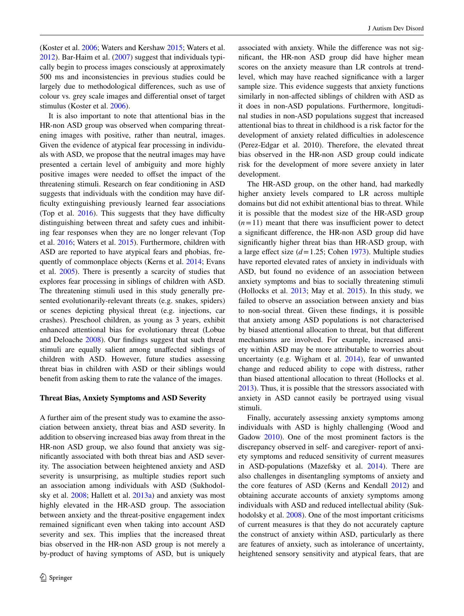(Koster et al. [2006;](#page-12-24) Waters and Kershaw [2015;](#page-14-12) Waters et al. [2012](#page-14-13)). Bar-Haim et al. [\(2007](#page-12-5)) suggest that individuals typically begin to process images consciously at approximately 500 ms and inconsistencies in previous studies could be largely due to methodological differences, such as use of colour vs. grey scale images and differential onset of target stimulus (Koster et al. [2006](#page-12-24)).

It is also important to note that attentional bias in the HR-non ASD group was observed when comparing threatening images with positive, rather than neutral, images. Given the evidence of atypical fear processing in individuals with ASD, we propose that the neutral images may have presented a certain level of ambiguity and more highly positive images were needed to offset the impact of the threatening stimuli. Research on fear conditioning in ASD suggests that individuals with the condition may have difficulty extinguishing previously learned fear associations (Top et al.  $2016$ ). This suggests that they have difficulty distinguishing between threat and safety cues and inhibiting fear responses when they are no longer relevant (Top et al. [2016](#page-14-14); Waters et al. [2015\)](#page-14-15). Furthermore, children with ASD are reported to have atypical fears and phobias, frequently of commonplace objects (Kerns et al. [2014](#page-12-17); Evans et al. [2005](#page-12-25)). There is presently a scarcity of studies that explores fear processing in siblings of children with ASD. The threatening stimuli used in this study generally presented evolutionarily-relevant threats (e.g. snakes, spiders) or scenes depicting physical threat (e.g. injections, car crashes). Preschool children, as young as 3 years, exhibit enhanced attentional bias for evolutionary threat (Lobue and Deloache [2008\)](#page-13-11). Our findings suggest that such threat stimuli are equally salient among unaffected siblings of children with ASD. However, future studies assessing threat bias in children with ASD or their siblings would benefit from asking them to rate the valance of the images.

#### **Threat Bias, Anxiety Symptoms and ASD Severity**

A further aim of the present study was to examine the association between anxiety, threat bias and ASD severity. In addition to observing increased bias away from threat in the HR-non ASD group, we also found that anxiety was significantly associated with both threat bias and ASD severity. The association between heightened anxiety and ASD severity is unsurprising, as multiple studies report such an association among individuals with ASD (Sukhodolsky et al. [2008](#page-14-16); Hallett et al. [2013a\)](#page-12-26) and anxiety was most highly elevated in the HR-ASD group. The association between anxiety and the threat-positive engagement index remained significant even when taking into account ASD severity and sex. This implies that the increased threat bias observed in the HR-non ASD group is not merely a by-product of having symptoms of ASD, but is uniquely associated with anxiety. While the difference was not significant, the HR-non ASD group did have higher mean scores on the anxiety measure than LR controls at trendlevel, which may have reached significance with a larger sample size. This evidence suggests that anxiety functions similarly in non-affected siblings of children with ASD as it does in non-ASD populations. Furthermore, longitudinal studies in non-ASD populations suggest that increased attentional bias to threat in childhood is a risk factor for the development of anxiety related difficulties in adolescence (Perez-Edgar et al. 2010). Therefore, the elevated threat bias observed in the HR-non ASD group could indicate risk for the development of more severe anxiety in later development.

The HR-ASD group, on the other hand, had markedly higher anxiety levels compared to LR across multiple domains but did not exhibit attentional bias to threat. While it is possible that the modest size of the HR-ASD group  $(n=11)$  meant that there was insufficient power to detect a significant difference, the HR-non ASD group did have significantly higher threat bias than HR-ASD group, with a large effect size (*d*=1.25; Cohen [1973](#page-12-23)). Multiple studies have reported elevated rates of anxiety in individuals with ASD, but found no evidence of an association between anxiety symptoms and bias to socially threatening stimuli (Hollocks et al. [2013](#page-12-14); May et al. [2015\)](#page-13-10). In this study, we failed to observe an association between anxiety and bias to non-social threat. Given these findings, it is possible that anxiety among ASD populations is not characterised by biased attentional allocation to threat, but that different mechanisms are involved. For example, increased anxiety within ASD may be more attributable to worries about uncertainty (e.g. Wigham et al. [2014](#page-14-17)), fear of unwanted change and reduced ability to cope with distress, rather than biased attentional allocation to threat (Hollocks et al. [2013](#page-12-14)). Thus, it is possible that the stressors associated with anxiety in ASD cannot easily be portrayed using visual stimuli.

Finally, accurately assessing anxiety symptoms among individuals with ASD is highly challenging (Wood and Gadow [2010](#page-14-2)). One of the most prominent factors is the discrepancy observed in self- and caregiver- report of anxiety symptoms and reduced sensitivity of current measures in ASD-populations (Mazefsky et al. [2014\)](#page-13-28). There are also challenges in disentangling symptoms of anxiety and the core features of ASD (Kerns and Kendall [2012](#page-12-27)) and obtaining accurate accounts of anxiety symptoms among individuals with ASD and reduced intellectual ability (Suk-hodolsky et al. [2008\)](#page-14-16). One of the most important criticisms of current measures is that they do not accurately capture the construct of anxiety within ASD, particularly as there are features of anxiety, such as intolerance of uncertainty, heightened sensory sensitivity and atypical fears, that are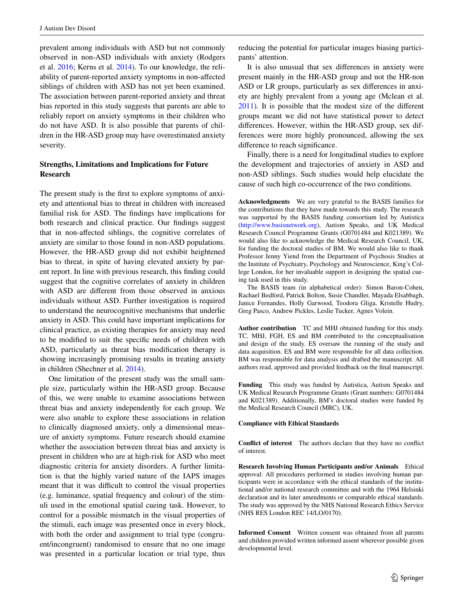prevalent among individuals with ASD but not commonly observed in non-ASD individuals with anxiety (Rodgers et al. [2016;](#page-13-29) Kerns et al. [2014\)](#page-12-17). To our knowledge, the reliability of parent-reported anxiety symptoms in non-affected siblings of children with ASD has not yet been examined. The association between parent-reported anxiety and threat bias reported in this study suggests that parents are able to reliably report on anxiety symptoms in their children who do not have ASD. It is also possible that parents of children in the HR-ASD group may have overestimated anxiety severity.

#### **Strengths, Limitations and Implications for Future Research**

The present study is the first to explore symptoms of anxiety and attentional bias to threat in children with increased familial risk for ASD. The findings have implications for both research and clinical practice. Our findings suggest that in non-affected siblings, the cognitive correlates of anxiety are similar to those found in non-ASD populations. However, the HR-ASD group did not exhibit heightened bias to threat, in spite of having elevated anxiety by parent report. In line with previous research, this finding could suggest that the cognitive correlates of anxiety in children with ASD are different from those observed in anxious individuals without ASD. Further investigation is required to understand the neurocognitive mechanisms that underlie anxiety in ASD. This could have important implications for clinical practice, as existing therapies for anxiety may need to be modified to suit the specific needs of children with ASD, particularly as threat bias modification therapy is showing increasingly promising results in treating anxiety in children (Shechner et al. [2014](#page-13-30)).

One limitation of the present study was the small sample size, particularly within the HR-ASD group. Because of this, we were unable to examine associations between threat bias and anxiety independently for each group. We were also unable to explore these associations in relation to clinically diagnosed anxiety, only a dimensional measure of anxiety symptoms. Future research should examine whether the association between threat bias and anxiety is present in children who are at high-risk for ASD who meet diagnostic criteria for anxiety disorders. A further limitation is that the highly varied nature of the IAPS images meant that it was difficult to control the visual properties (e.g. luminance, spatial frequency and colour) of the stimuli used in the emotional spatial cueing task. However, to control for a possible mismatch in the visual properties of the stimuli, each image was presented once in every block, with both the order and assignment to trial type (congruent/incongruent) randomised to ensure that no one image was presented in a particular location or trial type, thus reducing the potential for particular images biasing participants' attention.

It is also unusual that sex differences in anxiety were present mainly in the HR-ASD group and not the HR-non ASD or LR groups, particularly as sex differences in anxiety are highly prevalent from a young age (Mclean et al. [2011](#page-13-24)). It is possible that the modest size of the different groups meant we did not have statistical power to detect differences. However, within the HR-ASD group, sex differences were more highly pronounced, allowing the sex difference to reach significance.

Finally, there is a need for longitudinal studies to explore the development and trajectories of anxiety in ASD and non-ASD siblings. Such studies would help elucidate the cause of such high co-occurrence of the two conditions.

**Acknowledgments** We are very grateful to the BASIS families for the contributions that they have made towards this study. The research was supported by the BASIS funding consortium led by Autistica (<http://www.basisnetwork.org>), Autism Speaks, and UK Medical Research Council Programme Grants (G0701484 and K021389). We would also like to acknowledge the Medical Research Council, UK, for funding the doctoral studies of BM. We would also like to thank Professor Jenny Yiend from the Department of Psychosis Studies at the Institute of Psychiatry, Psychology and Neuroscience, King's College London, for her invaluable support in designing the spatial cueing task used in this study.

The BASIS team (in alphabetical order): Simon Baron-Cohen, Rachael Bedford, Patrick Bolton, Susie Chandler, Mayada Elsabbagh, Janice Fernandes, Holly Garwood, Teodora Gliga, Kristelle Hudry, Greg Pasco, Andrew Pickles, Leslie Tucker, Agnes Volein.

**Author contribution** TC and MHJ obtained funding for this study. TC, MHJ, FGH, ES and BM contributed to the conceptualisation and design of the study. ES oversaw the running of the study and data acquisition. ES and BM were responsible for all data collection. BM was responsible for data analysis and drafted the manuscript. All authors read, approved and provided feedback on the final manuscript.

**Funding** This study was funded by Autistica, Autism Speaks and UK Medical Research Programme Grants (Grant numbers: G0701484 and K021389). Additionally, BM's doctoral studies were funded by the Medical Research Council (MRC), UK.

#### **Compliance with Ethical Standards**

**Conflict of interest** The authors declare that they have no conflict of interest.

**Research Involving Human Participants and/or Animals** Ethical approval: All procedures performed in studies involving human participants were in accordance with the ethical standards of the institutional and/or national research committee and with the 1964 Helsinki declaration and its later amendments or comparable ethical standards. The study was approved by the NHS National Research Ethics Service (NHS RES London REC 14/LO/0170).

**Informed Consent** Written consent was obtained from all parents and children provided written informed assent wherever possible given developmental level.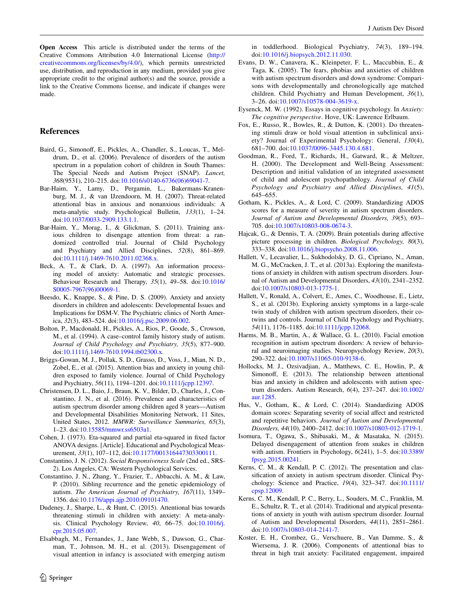**Open Access** This article is distributed under the terms of the Creative Commons Attribution 4.0 International License ([http://](http://creativecommons.org/licenses/by/4.0/) [creativecommons.org/licenses/by/4.0/](http://creativecommons.org/licenses/by/4.0/)), which permits unrestricted use, distribution, and reproduction in any medium, provided you give appropriate credit to the original author(s) and the source, provide a link to the Creative Commons license, and indicate if changes were made.

#### **References**

- <span id="page-12-0"></span>Baird, G., Simonoff, E., Pickles, A., Chandler, S., Loucas, T., Meldrum, D., et al. (2006). Prevalence of disorders of the autism spectrum in a population cohort of children in South Thames: The Special Needs and Autism Project (SNAP). *Lancet, 368*(9531), 210–215. doi:[10.1016/s0140-6736\(06\)69041-7.](http://dx.doi.org/10.1016/s0140-6736(06)69041-7)
- <span id="page-12-5"></span>Bar-Haim, Y., Lamy, D., Pergamin, L., Bakermans-Kranenburg, M. J., & van IJzendoorn, M. H. (2007). Threat-related attentional bias in anxious and nonanxious individuals: A meta-analytic study. Psychological Bulletin, *133*(1), 1–24. doi[:10.1037/0033-2909.133.1.1.](http://dx.doi.org/10.1037/0033-2909.133.1.1)
- <span id="page-12-13"></span>Bar-Haim, Y., Morag, I., & Glickman, S. (2011). Training anxious children to disengage attention from threat: a randomized controlled trial. Journal of Child Psychology and Psychiatry and Allied Disciplines, *52*(8), 861–869. doi[:10.1111/j.1469-7610.2011.02368.x](http://dx.doi.org/10.1111/j.1469-7610.2011.02368.x).
- <span id="page-12-6"></span>Beck, A. T., & Clark, D. A. (1997). An information processing model of anxiety: Automatic and strategic processes. Behaviour Research and Therapy, *35*(1), 49–58. doi[:10.1016/](http://dx.doi.org/10.1016/S0005-7967(96)00069-1) [S0005-7967\(96\)00069-1](http://dx.doi.org/10.1016/S0005-7967(96)00069-1).
- <span id="page-12-10"></span>Beesdo, K., Knappe, S., & Pine, D. S. (2009). Anxiety and anxiety disorders in children and adolescents: Developmental Issues and Implications for DSM-V. The Psychiatric clinics of North America, *32*(3), 483–524. doi[:10.1016/j.psc.2009.06.002.](http://dx.doi.org/10.1016/j.psc.2009.06.002)
- <span id="page-12-4"></span>Bolton, P., Macdonald, H., Pickles, A., Rios, P., Goode, S., Crowson, M., et al. (1994). A case–control family history study of autism. *Journal of Child Psychology and Psychiatry, 35*(5), 877–900. doi[:10.1111/j.1469-7610.1994.tb02300.x](http://dx.doi.org/10.1111/j.1469-7610.1994.tb02300.x).
- <span id="page-12-12"></span>Briggs-Gowan, M. J., Pollak, S. D., Grasso, D., Voss, J., Mian, N. D., Zobel, E., et al. (2015). Attention bias and anxiety in young children exposed to family violence. Journal of Child Psychology and Psychiatry, *56*(11), 1194–1201. doi:[10.1111/jcpp.12397.](http://dx.doi.org/10.1111/jcpp.12397)
- <span id="page-12-1"></span>Christensen, D. L., Baio, J., Braun, K. V., Bilder, D., Charles, J., Constantino, J. N., et al. (2016). Prevalence and characteristics of autism spectrum disorder among children aged 8 years—Autism and Developmental Disabilities Monitoring Network, 11 Sites, United States, 2012. *MMWR: Surveillance Summaries, 65*(3), 1–23. doi:[10.15585/mmwr.ss6503a1](http://dx.doi.org/10.15585/mmwr.ss6503a1).
- <span id="page-12-23"></span>Cohen, J. (1973). Eta-squared and partial eta-squared in fixed factor ANOVA designs. [Article]. Educational and Psychological Measurement, *33*(1), 107–112, doi[:10.1177/001316447303300111](http://dx.doi.org/10.1177/001316447303300111).
- <span id="page-12-21"></span>Constantino, J. N. (2012). *Social Responsiveness Scale* (2nd ed., SRS-2). Los Angeles, CA: Western Psychological Services.
- <span id="page-12-2"></span>Constantino, J. N., Zhang, Y., Frazier, T., Abbacchi, A. M., & Law, P. (2010). Sibling recurrence and the genetic epidemiology of autism. *The American Journal of Psychiatry, 167*(11), 1349– 1356. doi:[10.1176/appi.ajp.2010.09101470.](http://dx.doi.org/10.1176/appi.ajp.2010.09101470)
- <span id="page-12-11"></span>Dudeney, J., Sharpe, L., & Hunt, C. (2015). Attentional bias towards threatening stimuli in children with anxiety: A meta-analysis. Clinical Psychology Review, *40*, 66–75. doi:[10.1016/j.](http://dx.doi.org/10.1016/j.cpr.2015.05.007) [cpr.2015.05.007](http://dx.doi.org/10.1016/j.cpr.2015.05.007).
- <span id="page-12-9"></span>Elsabbagh, M., Fernandes, J., Jane Webb, S., Dawson, G., Charman, T., Johnson, M. H., et al. (2013). Disengagement of visual attention in infancy is associated with emerging autism

in toddlerhood. Biological Psychiatry, *74*(3), 189–194. doi:[10.1016/j.biopsych.2012.11.030.](http://dx.doi.org/10.1016/j.biopsych.2012.11.030)

- <span id="page-12-25"></span>Evans, D. W., Canavera, K., Kleinpeter, F. L., Maccubbin, E., & Taga, K. (2005). The fears, phobias and anxieties of children with autism spectrum disorders and down syndrome: Comparisons with developmentally and chronologically age matched children. Child Psychiatry and Human Development, *36*(1), 3–26. doi:[10.1007/s10578-004-3619-x.](http://dx.doi.org/10.1007/s10578-004-3619-x)
- <span id="page-12-7"></span>Eysenck, M. W. (1992). Essays in cognitive psychology. In *Anxiety: The cognitive perspective*. Hove, UK: Lawrence Erlbaum.
- <span id="page-12-8"></span>Fox, E., Russo, R., Bowles, R., & Dutton, K. (2001). Do threatening stimuli draw or hold visual attention in subclinical anxiety? Journal of Experimental Psychology: General, *130*(4), 681–700. doi:[10.1037/0096-3445.130.4.681](http://dx.doi.org/10.1037/0096-3445.130.4.681).
- <span id="page-12-18"></span>Goodman, R., Ford, T., Richards, H., Gatward, R., & Meltzer, H. (2000). The Development and Well-Being Assessment: Description and initial validation of an integrated assessment of child and adolescent psychopathology. *Journal of Child Psychology and Psychiatry and Allied Disciplines, 41*(5), 645–655.
- <span id="page-12-19"></span>Gotham, K., Pickles, A., & Lord, C. (2009). Standardizing ADOS scores for a measure of severity in autism spectrum disorders. *Journal of Autism and Developmental Disorders, 39*(5), 693– 705. doi[:10.1007/s10803-008-0674-3](http://dx.doi.org/10.1007/s10803-008-0674-3).
- <span id="page-12-22"></span>Hajcak, G., & Dennis, T. A. (2009). Brain potentials during affective picture processing in children. *Biological Psychology, 80*(3), 333–338. doi[:10.1016/j.biopsycho.2008.11.006](http://dx.doi.org/10.1016/j.biopsycho.2008.11.006).
- <span id="page-12-26"></span>Hallett, V., Lecavalier, L., Sukhodolsky, D. G., Cipriano, N., Aman, M. G., McCracken, J. T., et al. (2013a). Exploring the manifestations of anxiety in children with autism spectrum disorders. Journal of Autism and Developmental Disorders, *43*(10), 2341–2352. doi[:10.1007/s10803-013-1775-1](http://dx.doi.org/10.1007/s10803-013-1775-1).
- <span id="page-12-3"></span>Hallett, V., Ronald, A., Colvert, E., Ames, C., Woodhouse, E., Lietz, S., et al. (2013b). Exploring anxiety symptoms in a large-scale twin study of children with autism spectrum disorders, their cotwins and controls. Journal of Child Psychology and Psychiatry, *54*(11), 1176–1185. doi:[10.1111/jcpp.12068.](http://dx.doi.org/10.1111/jcpp.12068)
- <span id="page-12-16"></span>Harms, M. B., Martin, A., & Wallace, G. L. (2010). Facial emotion recognition in autism spectrum disorders: A review of behavioral and neuroimaging studies. Neuropsychology Review, *20*(3), 290–322. doi[:10.1007/s11065-010-9138-6](http://dx.doi.org/10.1007/s11065-010-9138-6).
- <span id="page-12-14"></span>Hollocks, M. J., Ozsivadjian, A., Matthews, C. E., Howlin, P., & Simonoff, E. (2013). The relationship between attentional bias and anxiety in children and adolescents with autism spectrum disorders. Autism Research, *6*(4), 237–247. doi[:10.1002/](http://dx.doi.org/10.1002/aur.1285) [aur.1285.](http://dx.doi.org/10.1002/aur.1285)
- <span id="page-12-20"></span>Hus, V., Gotham, K., & Lord, C. (2014). Standardizing ADOS domain scores: Separating severity of social affect and restricted and repetitive behaviors. *Journal of Autism and Developmental Disorders, 44*(10), 2400–2412. doi:[10.1007/s10803-012-1719-1.](http://dx.doi.org/10.1007/s10803-012-1719-1)
- <span id="page-12-15"></span>Isomura, T., Ogawa, S., Shibasaki, M., & Masataka, N. (2015). Delayed disengagement of attention from snakes in children with autism. Frontiers in Psychology, *6*(241), 1–5. doi[:10.3389/](http://dx.doi.org/10.3389/fpsyg.2015.00241) [fpsyg.2015.00241](http://dx.doi.org/10.3389/fpsyg.2015.00241).
- <span id="page-12-27"></span>Kerns, C. M., & Kendall, P. C. (2012). The presentation and classification of anxiety in autism spectrum disorder. Clinical Psychology: Science and Practice, *19*(4), 323–347. doi[:10.1111/](http://dx.doi.org/10.1111/cpsp.12009) [cpsp.12009](http://dx.doi.org/10.1111/cpsp.12009).
- <span id="page-12-17"></span>Kerns, C. M., Kendall, P. C., Berry, L., Souders, M. C., Franklin, M. E., Schultz, R. T., et al. (2014). Traditional and atypical presentations of anxiety in youth with autism spectrum disorder. Journal of Autism and Developmental Disorders, *44*(11), 2851–2861. doi[:10.1007/s10803-014-2141-7](http://dx.doi.org/10.1007/s10803-014-2141-7).
- <span id="page-12-24"></span>Koster, E. H., Crombez, G., Verschuere, B., Van Damme, S., & Wiersema, J. R. (2006). Components of attentional bias to threat in high trait anxiety: Facilitated engagement, impaired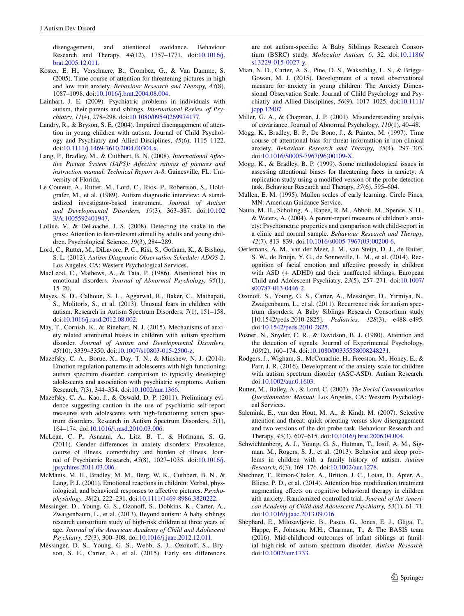disengagement, and attentional avoidance. Behaviour Research and Therapy, *44*(12), 1757–1771. doi:[10.1016/j.](http://dx.doi.org/10.1016/j.brat.2005.12.011) [brat.2005.12.011.](http://dx.doi.org/10.1016/j.brat.2005.12.011)

- <span id="page-13-26"></span>Koster, E. H., Verschuere, B., Crombez, G., & Van Damme, S. (2005). Time-course of attention for threatening pictures in high and low trait anxiety. *Behaviour Research and Therapy, 43*(8), 1087–1098. doi:[10.1016/j.brat.2004.08.004](http://dx.doi.org/10.1016/j.brat.2004.08.004).
- <span id="page-13-3"></span>Lainhart, J. E. (2009). Psychiatric problems in individuals with autism, their parents and siblings. *International Review of Psychiatry, 11*(4), 278–298. doi[:10.1080/09540269974177.](http://dx.doi.org/10.1080/09540269974177)
- <span id="page-13-8"></span>Landry, R., & Bryson, S. E. (2004). Impaired disengagement of attention in young children with autism. Journal of Child Psychology and Psychiatry and Allied Disciplines, *45*(6), 1115–1122. doi[:10.1111/j.1469-7610.2004.00304.x](http://dx.doi.org/10.1111/j.1469-7610.2004.00304.x).
- <span id="page-13-22"></span>Lang, P., Bradley, M., & Cuthbert, B. N. (2008). *International Affective Picture System (IAPS): Affective ratings of pictures and instruction manual. Technical Report A-8*. Gainesville, FL: University of Florida.
- <span id="page-13-19"></span>Le Couteur, A., Rutter, M., Lord, C., Rios, P., Robertson, S., Holdgrafer, M., et al. (1989). Autism diagnostic interview: A standardized investigator-based instrument. *Journal of Autism and Developmental Disorders, 19*(3), 363–387. doi:[10.102](http://dx.doi.org/10.1023/A:1005592401947) [3/A:1005592401947](http://dx.doi.org/10.1023/A:1005592401947).
- <span id="page-13-11"></span>LoBue, V., & DeLoache, J. S. (2008). Detecting the snake in the grass: Attention to fear-relevant stimuli by adults and young children. Psychological Science, *19*(3), 284–289.
- <span id="page-13-18"></span>Lord, C., Rutter, M., DiLavore, P. C., Risi, S., Gotham, K., & Bishop, S. L. (2012). *Autism Diagnostic Observation Schedule: ADOS-2*. Los Angeles, CA: Western Psychological Services.
- <span id="page-13-5"></span>MacLeod, C., Mathews, A., & Tata, P. (1986). Attentional bias in emotional disorders. *Journal of Abnormal Psychology, 95*(1), 15–20.
- <span id="page-13-13"></span>Mayes, S. D., Calhoun, S. L., Aggarwal, R., Baker, C., Mathapati, S., Molitoris, S., et al. (2013). Unusual fears in children with autism. Research in Autism Spectrum Disorders, *7*(1), 151–158. doi[:10.1016/j.rasd.2012.08.002.](http://dx.doi.org/10.1016/j.rasd.2012.08.002)
- <span id="page-13-10"></span>May, T., Cornish, K., & Rinehart, N. J. (2015). Mechanisms of anxiety related attentional biases in children with autism spectrum disorder. *Journal of Autism and Developmental Disorders, 45*(10), 3339–3350. doi:[10.1007/s10803-015-2500-z](http://dx.doi.org/10.1007/s10803-015-2500-z).
- <span id="page-13-28"></span>Mazefsky, C. A., Borue, X., Day, T. N., & Minshew, N. J. (2014). Emotion regulation patterns in adolescents with high-functioning autism spectrum disorder: comparison to typically developing adolescents and association with psychiatric symptoms. Autism Research, *7*(3), 344–354. doi:[10.1002/aur.1366](http://dx.doi.org/10.1002/aur.1366).
- <span id="page-13-15"></span>Mazefsky, C. A., Kao, J., & Oswald, D. P. (2011). Preliminary evidence suggesting caution in the use of psychiatric self-report measures with adolescents with high-functioning autism spectrum disorders. Research in Autism Spectrum Disorders, *5*(1), 164–174. doi[:10.1016/j.rasd.2010.03.006.](http://dx.doi.org/10.1016/j.rasd.2010.03.006)
- <span id="page-13-24"></span>McLean, C. P., Asnaani, A., Litz, B. T., & Hofmann, S. G. (2011). Gender differences in anxiety disorders: Prevalence, course of illness, comorbidity and burden of illness. Journal of Psychiatric Research, *45*(8), 1027–1035. doi:[10.1016/j.](http://dx.doi.org/10.1016/j.jpsychires.2011.03.006) [jpsychires.2011.03.006.](http://dx.doi.org/10.1016/j.jpsychires.2011.03.006)
- <span id="page-13-23"></span>McManis, M. H., Bradley, M. M., Berg, W. K., Cuthbert, B. N., & Lang, P. J. (2001). Emotional reactions in children: Verbal, physiological, and behavioral responses to affective pictures. *Psychophysiology, 38*(2), 222–231. doi:[10.1111/1469-8986.3820222](http://dx.doi.org/10.1111/1469-8986.3820222).
- <span id="page-13-0"></span>Messinger, D., Young, G. S., Ozonoff, S., Dobkins, K., Carter, A., Zwaigenbaum, L., et al. (2013). Beyond autism: A baby siblings research consortium study of high-risk children at three years of age. *Journal of the American Academy of Child and Adolescent Psychiatry, 52*(3), 300–308. doi[:10.1016/j.jaac.2012.12.011](http://dx.doi.org/10.1016/j.jaac.2012.12.011).
- <span id="page-13-1"></span>Messinger, D. S., Young, G. S., Webb, S. J., Ozonoff, S., Bryson, S. E., Carter, A., et al. (2015). Early sex differences

are not autism-specific: A Baby Siblings Research Consortium (BSRC) study. *Molecular Autism, 6*, 32. doi[:10.1186/](http://dx.doi.org/10.1186/s13229-015-0027-y) [s13229-015-0027-y.](http://dx.doi.org/10.1186/s13229-015-0027-y)

- <span id="page-13-9"></span>Mian, N. D., Carter, A. S., Pine, D. S., Wakschlag, L. S., & Briggs-Gowan, M. J. (2015). Development of a novel observational measure for anxiety in young children: The Anxiety Dimensional Observation Scale. Journal of Child Psychology and Psychiatry and Allied Disciplines, *56*(9), 1017–1025. doi[:10.1111/](http://dx.doi.org/10.1111/jcpp.12407) [jcpp.12407](http://dx.doi.org/10.1111/jcpp.12407).
- <span id="page-13-25"></span>Miller, G. A., & Chapman, J. P. (2001). Misunderstanding analysis of covariance. Journal of Abnormal Psychology, *110*(1), 40–48.
- <span id="page-13-27"></span>Mogg, K., Bradley, B. P., De Bono, J., & Painter, M. (1997). Time course of attentional bias for threat information in non-clinical anxiety. *Behaviour Research and Therapy, 35*(4), 297–303. doi[:10.1016/S0005-7967\(96\)00109-X](http://dx.doi.org/10.1016/S0005-7967(96)00109-X).
- <span id="page-13-6"></span>Mogg, K., & Bradley, B. P. (1999). Some methodological issues in assessing attentional biases for threatening faces in anxiety: A replication study using a modified version of the probe detection task. Behaviour Research and Therapy, *37*(6), 595–604.
- <span id="page-13-17"></span>Mullen, E. M. (1995). Mullen scales of early learning. Circle Pines, MN: American Guidance Service.
- <span id="page-13-20"></span>Nauta, M. H., Scholing, A., Rapee, R. M., Abbott, M., Spence, S. H., & Waters, A. (2004). A parent-report measure of children's anxiety: Psychometric properties and comparison with child-report in a clinic and normal sample. *Behaviour Research and Therapy, 42*(7), 813–839. doi[:10.1016/s0005-7967\(03\)00200-6.](http://dx.doi.org/10.1016/s0005-7967(03)00200-6)
- <span id="page-13-12"></span>Oerlemans, A. M., van der Meer, J. M., van Steijn, D. J., de Ruiter, S. W., de Bruijn, Y. G., de Sonneville, L. M., et al. (2014). Recognition of facial emotion and affective prosody in children with ASD (+ ADHD) and their unaffected siblings. European Child and Adolescent Psychiatry, *23*(5), 257–271. doi[:10.1007/](http://dx.doi.org/10.1007/s00787-013-0446-2) [s00787-013-0446-2](http://dx.doi.org/10.1007/s00787-013-0446-2).
- <span id="page-13-2"></span>Ozonoff, S., Young, G. S., Carter, A., Messinger, D., Yirmiya, N., Zwaigenbaum, L., et al. (2011). Recurrence risk for autism spectrum disorders: A Baby Siblings Research Consortium study [10.1542/peds.2010-2825]. *Pediatrics, 128*(3), e488–e495. doi[:10.1542/peds.2010-2825.](http://dx.doi.org/10.1542/peds.2010-2825)
- <span id="page-13-21"></span>Posner, N., Snyder, C. R., & Davidson, B. J. (1980). Attention and the detection of signals. Journal of Experimental Psychology, *109*(2), 160–174. doi[:10.1080/00335558008248231.](http://dx.doi.org/10.1080/00335558008248231)
- <span id="page-13-29"></span>Rodgers, J., Wigham, S., McConachie, H., Freeston, M., Honey, E., & Parr, J. R. (2016). Development of the anxiety scale for children with autism spectrum disorder (ASC-ASD). Autism Research. doi[:10.1002/aur.0.1603](http://dx.doi.org/10.1002/aur.0.1603).
- <span id="page-13-16"></span>Rutter, M., Bailey, A., & Lord, C. (2003). *The Social Communication Questionnaire: Manual*. Los Angeles, CA: Western Psychological Services.
- <span id="page-13-7"></span>Salemink, E., van den Hout, M. A., & Kindt, M. (2007). Selective attention and threat: quick orienting versus slow disengagement and two versions of the dot probe task. Behaviour Research and Therapy, *45*(3), 607–615. doi[:10.1016/j.brat.2006.04.004](http://dx.doi.org/10.1016/j.brat.2006.04.004).
- <span id="page-13-4"></span>Schwichtenberg, A. J., Young, G. S., Hutman, T., Iosif, A. M., Sigman, M., Rogers, S. J., et al. (2013). Behavior and sleep problems in children with a family history of autism. *Autism Research, 6*(3), 169–176. doi[:10.1002/aur.1278.](http://dx.doi.org/10.1002/aur.1278)
- <span id="page-13-30"></span>Shechner, T., Rimon-Chakir, A., Britton, J. C., Lotan, D., Apter, A., Bliese, P. D., et al. (2014). Attention bias modification treatment augmenting effects on cognitive behavioral therapy in children aith anxiety: Randomized controlled trial. *Journal of the American Academy of Child and Adolescent Psychiatry, 53*(1), 61–71. doi[:10.1016/j.jaac.2013.09.016](http://dx.doi.org/10.1016/j.jaac.2013.09.016).
- <span id="page-13-14"></span>Shephard, E., Milosavljevic, B., Pasco, G., Jones, E. J., Gliga, T., Happe, F., Johnson, M.H., Charman, T., & The BASIS team (2016). Mid-childhood outcomes of infant siblings at familial high-risk of autism spectrum disorder. *Autism Research*. doi[:10.1002/aur.1733.](http://dx.doi.org/10.1002/aur.1733)